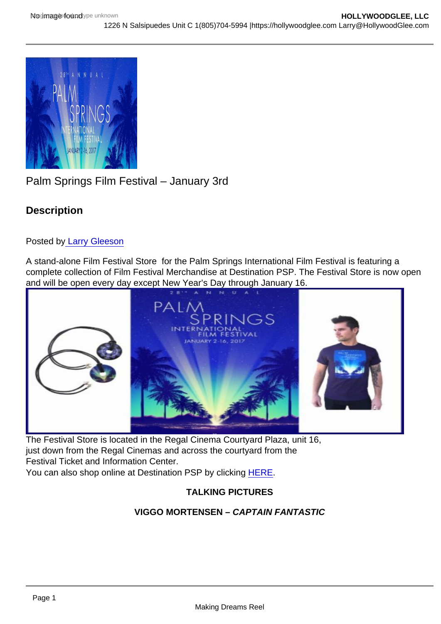# Palm Springs Film Festival – January 3rd

**Description** 

Posted b[y Larry Gleeson](http://sbccfilmreviews.org/?s=Larry+Gleeson)

A stand-alone Film Festival Store for the Palm Springs International Film Festival is featuring a complete collection of Film Festival Merchandise at Destination PSP. The Festival Store is now open and will be open every day except New Year's Day through January 16.

The Festival Store is located in the Regal Cinema Courtyard Plaza, unit 16, just down from the Regal Cinemas and across the courtyard from the Festival Ticket and Information Center. You can also shop online at Destination PSP by clicking [HERE](http://www.destinationpsp.com/specialty-shop-palm-springs/palm-springs-international-film-festival.html).

TALKING PICTURES

VIGGO MORTENSEN – CAPTAIN FANTASTIC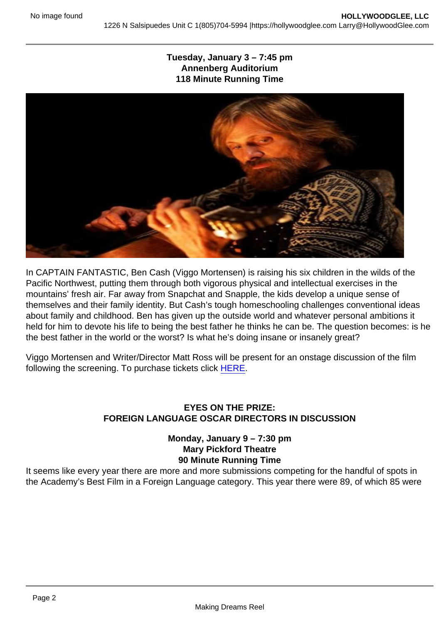Tuesday, January  $3 - 7:45$  pm Annenberg Auditorium 118 Minute Running Time

In CAPTAIN FANTASTIC, Ben Cash (Viggo Mortensen) is raising his six children in the wilds of the Pacific Northwest, putting them through both vigorous physical and intellectual exercises in the mountains' fresh air. Far away from Snapchat and Snapple, the kids develop a unique sense of themselves and their family identity. But Cash's tough homeschooling challenges conventional ideas about family and childhood. Ben has given up the outside world and whatever personal ambitions it held for him to devote his life to being the best father he thinks he can be. The question becomes: is he the best father in the world or the worst? Is what he's doing insane or insanely great?

Viggo Mortensen and Writer/Director Matt Ross will be present for an onstage discussion of the film following the screening. To purchase tickets click [HERE](https://www.psfilmfest.org/2017-ps-film-festival/films/captain-fantastic).

## EYES ON THE PRIZE: FOREIGN LANGUAGE OSCAR DIRECTORS IN DISCUSSION

Monday, January  $9 - 7:30$  pm Mary Pickford Theatre 90 Minute Running Time

It seems like every year there are more and more submissions competing for the handful of spots in the Academy's Best Film in a Foreign Language category. This year there were 89, of which 85 were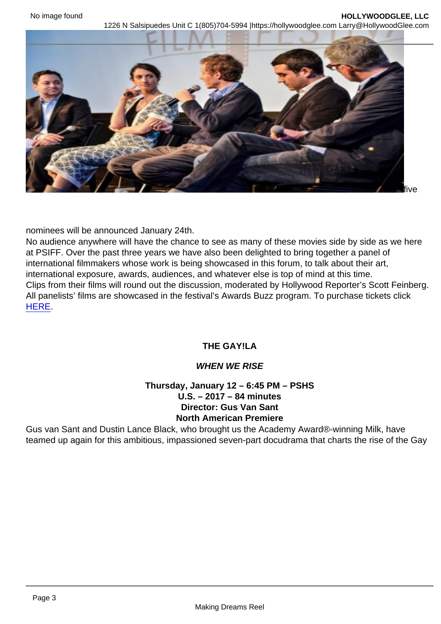accepted. In December that field was shortlisted to nine, and the final

five

nominees will be announced January 24th.

No audience anywhere will have the chance to see as many of these movies side by side as we here at PSIFF. Over the past three years we have also been delighted to bring together a panel of international filmmakers whose work is being showcased in this forum, to talk about their art, international exposure, awards, audiences, and whatever else is top of mind at this time. Clips from their films will round out the discussion, moderated by Hollywood Reporter's Scott Feinberg. All panelists' films are showcased in the festival's Awards Buzz program. To purchase tickets click [HERE](https://tickets.psfilmfest.org//tickets/buy.aspx?fid=79&id=8470).

## THE GAY!LA

### WHEN WE RISE

Thursday, January  $12 - 6:45$  PM – PSHS U.S. – 2017 – 84 minutes Director: Gus Van Sant North American Premiere

Gus van Sant and Dustin Lance Black, who brought us the Academy Award®-winning Milk, have teamed up again for this ambitious, impassioned seven-part docudrama that charts the rise of the Gay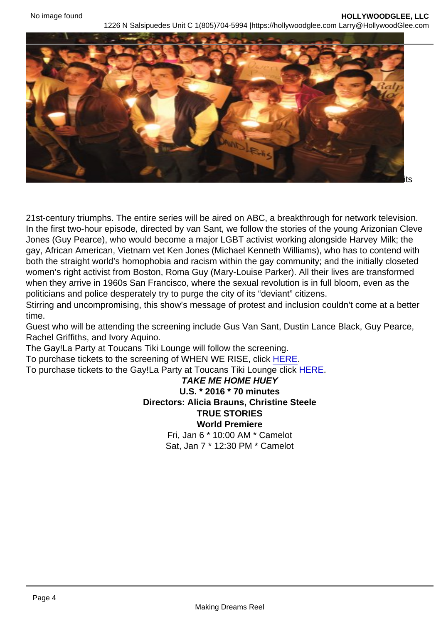Liberation movement from its embattled origins in the 1960s to

its

21st-century triumphs. The entire series will be aired on ABC, a breakthrough for network television. In the first two-hour episode, directed by van Sant, we follow the stories of the young Arizonian Cleve Jones (Guy Pearce), who would become a major LGBT activist working alongside Harvey Milk; the gay, African American, Vietnam vet Ken Jones (Michael Kenneth Williams), who has to contend with both the straight world's homophobia and racism within the gay community; and the initially closeted women's right activist from Boston, Roma Guy (Mary-Louise Parker). All their lives are transformed when they arrive in 1960s San Francisco, where the sexual revolution is in full bloom, even as the politicians and police desperately try to purge the city of its "deviant" citizens.

Stirring and uncompromising, this show's message of protest and inclusion couldn't come at a better time.

Guest who will be attending the screening include Gus Van Sant, Dustin Lance Black, Guy Pearce, Rachel Griffiths, and Ivory Aquino.

The Gay!La Party at Toucans Tiki Lounge will follow the screening.

To purchase tickets to the screening of WHEN WE RISE, click [HERE.](https://tickets.psfilmfest.org//tickets/buy.aspx?fid=79&id=8427)

To purchase tickets to the Gay!La Party at Toucans Tiki Lounge click [HERE](https://www.psfilmfest.org/2017-ps-film-festival/events/parties/gayla).

TAKE ME HOME HUEY U.S. \* 2016 \* 70 minutes Directors: Alicia Brauns, Christine Steele TRUE STORIES World Premiere Fri, Jan 6 \* 10:00 AM \* Camelot Sat, Jan 7 \* 12:30 PM \* Camelot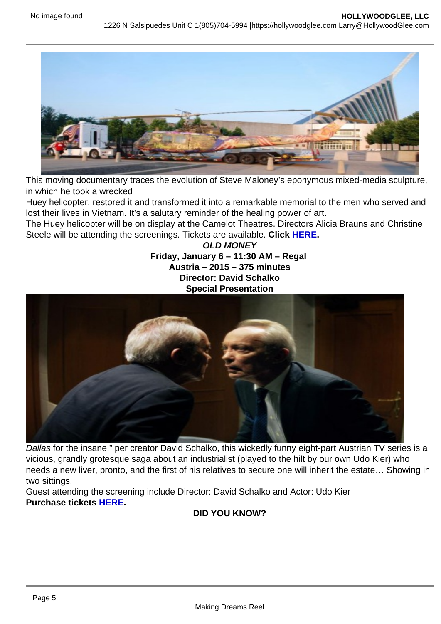This moving documentary traces the evolution of Steve Maloney's eponymous mixed-media sculpture, in which he took a wrecked

Huey helicopter, restored it and transformed it into a remarkable memorial to the men who served and lost their lives in Vietnam. It's a salutary reminder of the healing power of art.

The Huey helicopter will be on display at the Camelot Theatres. Directors Alicia Brauns and Christine Steele will be attending the screenings. Tickets are available. Click [HERE.](https://www.psfilmfest.org/2017-ps-film-festival/films/take-me-home-huey)

> OLD MONEY Friday, January  $6 - 11:30$  AM – Regal Austria – 2015 – 375 minutes Director: David Schalko Special Presentation

Dallas for the insane," per creator David Schalko, this wickedly funny eight-part Austrian TV series is a vicious, grandly grotesque saga about an industrialist (played to the hilt by our own Udo Kier) who needs a new liver, pronto, and the first of his relatives to secure one will inherit the estate… Showing in two sittings.

Guest attending the screening include Director: David Schalko and Actor: Udo Kier Purchase tickets [HERE](https://tickets.psfilmfest.org//tickets/buy.aspx?fid=79&id=8248).

DID YOU KNOW?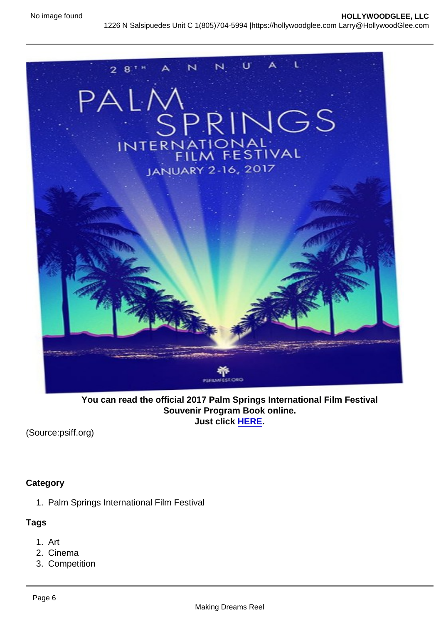You can read the official 2017 Palm Springs International Film Festival Souvenir Program Book online. Just click [HERE](http://psiffmag.psfilmfest.org/publication/frame.php?i=371596&p=&pn=&ver=html5).

(Source:psiff.org)

**Category** 

1. Palm Springs International Film Festival

Tags

- 1. Art
- 2. Cinema
- 3. Competition